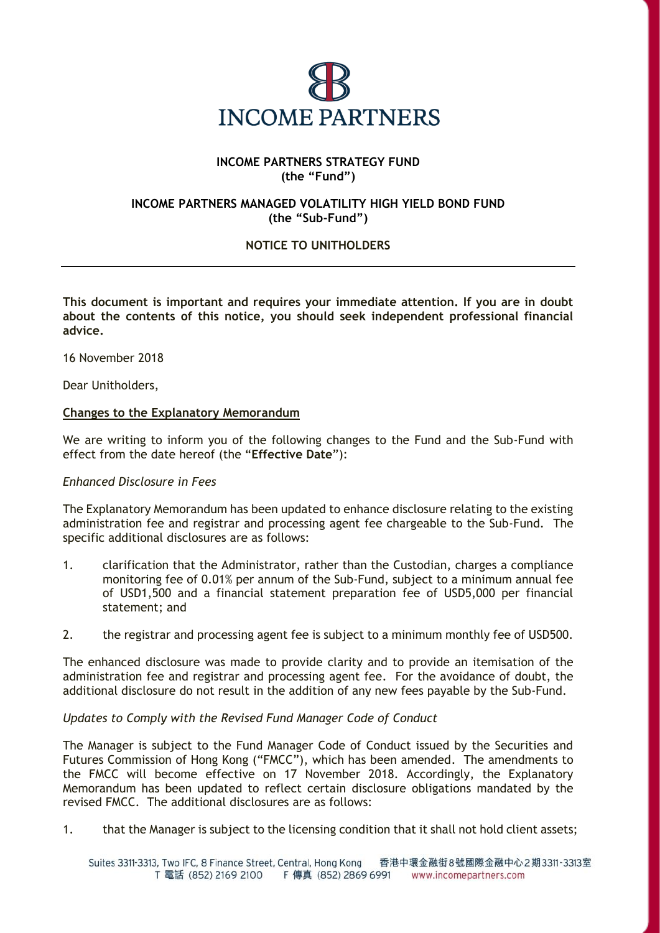

## **INCOME PARTNERS STRATEGY FUND (the "Fund")**

## **INCOME PARTNERS MANAGED VOLATILITY HIGH YIELD BOND FUND (the "Sub-Fund")**

# **NOTICE TO UNITHOLDERS**

**This document is important and requires your immediate attention. If you are in doubt about the contents of this notice, you should seek independent professional financial advice.**

16 November 2018

Dear Unitholders,

#### **Changes to the Explanatory Memorandum**

We are writing to inform you of the following changes to the Fund and the Sub-Fund with effect from the date hereof (the "**Effective Date**"):

#### *Enhanced Disclosure in Fees*

The Explanatory Memorandum has been updated to enhance disclosure relating to the existing administration fee and registrar and processing agent fee chargeable to the Sub-Fund. The specific additional disclosures are as follows:

- 1. clarification that the Administrator, rather than the Custodian, charges a compliance monitoring fee of 0.01% per annum of the Sub-Fund, subject to a minimum annual fee of USD1,500 and a financial statement preparation fee of USD5,000 per financial statement; and
- 2. the registrar and processing agent fee is subject to a minimum monthly fee of USD500.

The enhanced disclosure was made to provide clarity and to provide an itemisation of the administration fee and registrar and processing agent fee. For the avoidance of doubt, the additional disclosure do not result in the addition of any new fees payable by the Sub-Fund.

#### *Updates to Comply with the Revised Fund Manager Code of Conduct*

The Manager is subject to the Fund Manager Code of Conduct issued by the Securities and Futures Commission of Hong Kong ("FMCC"), which has been amended. The amendments to the FMCC will become effective on 17 November 2018. Accordingly, the Explanatory Memorandum has been updated to reflect certain disclosure obligations mandated by the revised FMCC. The additional disclosures are as follows:

1. that the Manager is subject to the licensing condition that it shall not hold client assets;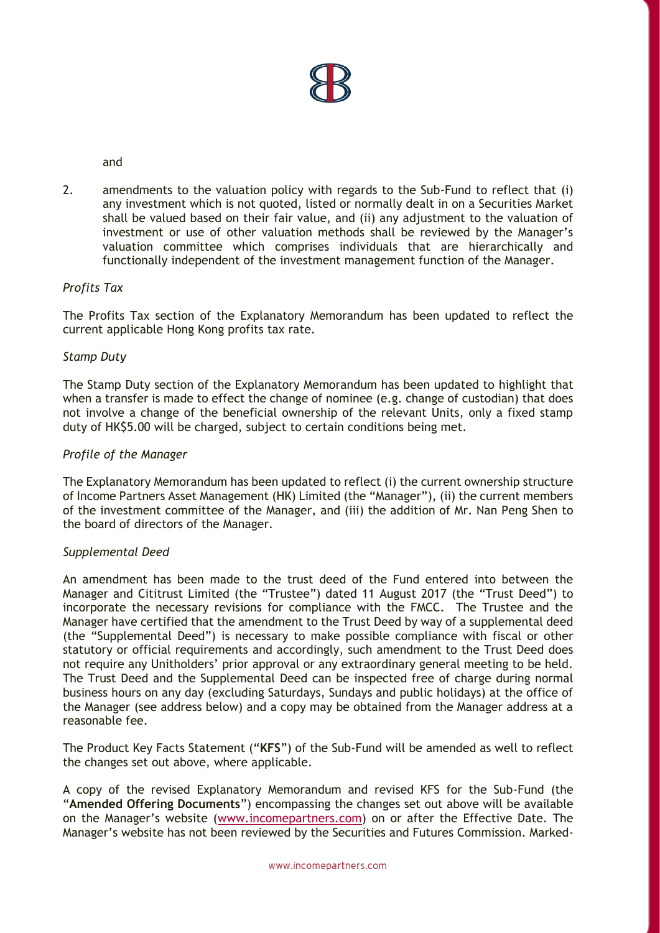

and

2. amendments to the valuation policy with regards to the Sub-Fund to reflect that (i) any investment which is not quoted, listed or normally dealt in on a Securities Market shall be valued based on their fair value, and (ii) any adjustment to the valuation of investment or use of other valuation methods shall be reviewed by the Manager's valuation committee which comprises individuals that are hierarchically and functionally independent of the investment management function of the Manager.

## *Profits Tax*

The Profits Tax section of the Explanatory Memorandum has been updated to reflect the current applicable Hong Kong profits tax rate.

### *Stamp Duty*

The Stamp Duty section of the Explanatory Memorandum has been updated to highlight that when a transfer is made to effect the change of nominee (e.g. change of custodian) that does not involve a change of the beneficial ownership of the relevant Units, only a fixed stamp duty of HK\$5.00 will be charged, subject to certain conditions being met.

### *Profile of the Manager*

The Explanatory Memorandum has been updated to reflect (i) the current ownership structure of Income Partners Asset Management (HK) Limited (the "Manager"), (ii) the current members of the investment committee of the Manager, and (iii) the addition of Mr. Nan Peng Shen to the board of directors of the Manager.

#### *Supplemental Deed*

An amendment has been made to the trust deed of the Fund entered into between the Manager and Cititrust Limited (the "Trustee") dated 11 August 2017 (the "Trust Deed") to incorporate the necessary revisions for compliance with the FMCC. The Trustee and the Manager have certified that the amendment to the Trust Deed by way of a supplemental deed (the "Supplemental Deed") is necessary to make possible compliance with fiscal or other statutory or official requirements and accordingly, such amendment to the Trust Deed does not require any Unitholders' prior approval or any extraordinary general meeting to be held. The Trust Deed and the Supplemental Deed can be inspected free of charge during normal business hours on any day (excluding Saturdays, Sundays and public holidays) at the office of the Manager (see address below) and a copy may be obtained from the Manager address at a reasonable fee.

The Product Key Facts Statement ("**KFS**") of the Sub-Fund will be amended as well to reflect the changes set out above, where applicable.

A copy of the revised Explanatory Memorandum and revised KFS for the Sub-Fund (the "**Amended Offering Documents**") encompassing the changes set out above will be available on the Manager's website ([www.incomepartners.com\)](http://www.incomepartners.com/) on or after the Effective Date. The Manager's website has not been reviewed by the Securities and Futures Commission. Marked-